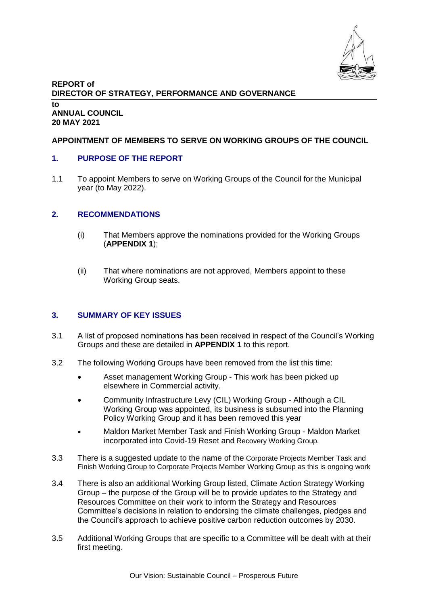

#### **REPORT of DIRECTOR OF STRATEGY, PERFORMANCE AND GOVERNANCE to ANNUAL COUNCIL 20 MAY 2021**

### **APPOINTMENT OF MEMBERS TO SERVE ON WORKING GROUPS OF THE COUNCIL**

### **1. PURPOSE OF THE REPORT**

1.1 To appoint Members to serve on Working Groups of the Council for the Municipal year (to May 2022).

### **2. RECOMMENDATIONS**

- (i) That Members approve the nominations provided for the Working Groups (**APPENDIX 1**);
- (ii) That where nominations are not approved, Members appoint to these Working Group seats.

### **3. SUMMARY OF KEY ISSUES**

- 3.1 A list of proposed nominations has been received in respect of the Council's Working Groups and these are detailed in **APPENDIX 1** to this report.
- 3.2 The following Working Groups have been removed from the list this time:
	- Asset management Working Group This work has been picked up elsewhere in Commercial activity.
	- Community Infrastructure Levy (CIL) Working Group Although a CIL Working Group was appointed, its business is subsumed into the Planning Policy Working Group and it has been removed this year
	- Maldon Market Member Task and Finish Working Group Maldon Market incorporated into Covid-19 Reset and Recovery Working Group.
- 3.3 There is a suggested update to the name of the Corporate Projects Member Task and Finish Working Group to Corporate Projects Member Working Group as this is ongoing work
- 3.4 There is also an additional Working Group listed, Climate Action Strategy Working Group – the purpose of the Group will be to provide updates to the Strategy and Resources Committee on their work to inform the Strategy and Resources Committee's decisions in relation to endorsing the climate challenges, pledges and the Council's approach to achieve positive carbon reduction outcomes by 2030.
- 3.5 Additional Working Groups that are specific to a Committee will be dealt with at their first meeting.